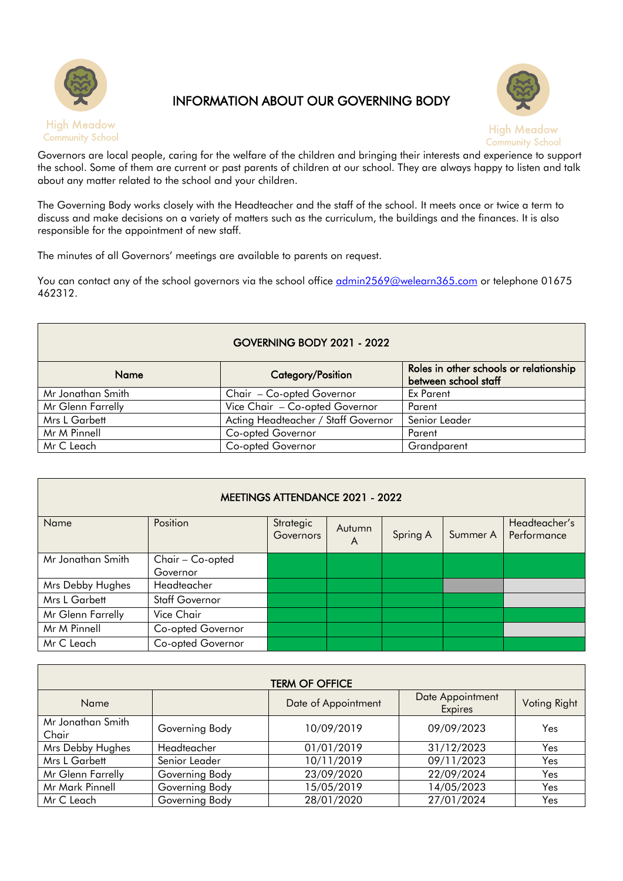

## INFORMATION ABOUT OUR GOVERNING BODY



Governors are local people, caring for the welfare of the children and bringing their interests and experience to support the school. Some of them are current or past parents of children at our school. They are always happy to listen and talk about any matter related to the school and your children.

The Governing Body works closely with the Headteacher and the staff of the school. It meets once or twice a term to discuss and make decisions on a variety of matters such as the curriculum, the buildings and the finances. It is also responsible for the appointment of new staff.

The minutes of all Governors' meetings are available to parents on request.

You can contact any of the school governors via the school office [admin2569@welearn365.com](mailto:admin2569@welearn365.com) or telephone 01675 462312.

## GOVERNING BODY 2021 - 2022

| <b>Name</b>       | Category/Position                   | Roles in other schools or relationship<br>between school staff |  |
|-------------------|-------------------------------------|----------------------------------------------------------------|--|
| Mr Jonathan Smith | Chair - Co-opted Governor           | Ex Parent                                                      |  |
| Mr Glenn Farrelly | Vice Chair - Co-opted Governor      | Parent                                                         |  |
| Mrs L Garbett     | Acting Headteacher / Staff Governor | Senior Leader                                                  |  |
| Mr M Pinnell      | Co-opted Governor                   | Parent                                                         |  |
| Mr C Leach        | Co-opted Governor                   | Grandparent                                                    |  |

| <b>MEETINGS ATTENDANCE 2021 - 2022</b> |                   |                        |             |          |          |                              |
|----------------------------------------|-------------------|------------------------|-------------|----------|----------|------------------------------|
| Name                                   | Position          | Strategic<br>Governors | Autumn<br>A | Spring A | Summer A | Headteacher's<br>Performance |
| Mr Jonathan Smith                      | Chair - Co-opted  |                        |             |          |          |                              |
|                                        | Governor          |                        |             |          |          |                              |
| Mrs Debby Hughes                       | Headteacher       |                        |             |          |          |                              |
| Mrs L Garbett                          | Staff Governor    |                        |             |          |          |                              |
| Mr Glenn Farrelly                      | Vice Chair        |                        |             |          |          |                              |
| Mr M Pinnell                           | Co-opted Governor |                        |             |          |          |                              |
| Mr C Leach                             | Co-opted Governor |                        |             |          |          |                              |

| <b>TERM OF OFFICE</b>      |                |                     |                             |              |
|----------------------------|----------------|---------------------|-----------------------------|--------------|
| Name                       |                | Date of Appointment | Date Appointment<br>Expires | Voting Right |
| Mr Jonathan Smith<br>Chair | Governing Body | 10/09/2019          | 09/09/2023                  | Yes          |
| Mrs Debby Hughes           | Headteacher    | 01/01/2019          | 31/12/2023                  | Yes          |
| Mrs L Garbett              | Senior Leader  | 10/11/2019          | 09/11/2023                  | Yes          |
| Mr Glenn Farrelly          | Governing Body | 23/09/2020          | 22/09/2024                  | Yes          |
| Mr Mark Pinnell            | Governing Body | 15/05/2019          | 14/05/2023                  | Yes          |
| Mr C Leach                 | Governing Body | 28/01/2020          | 27/01/2024                  | Yes          |